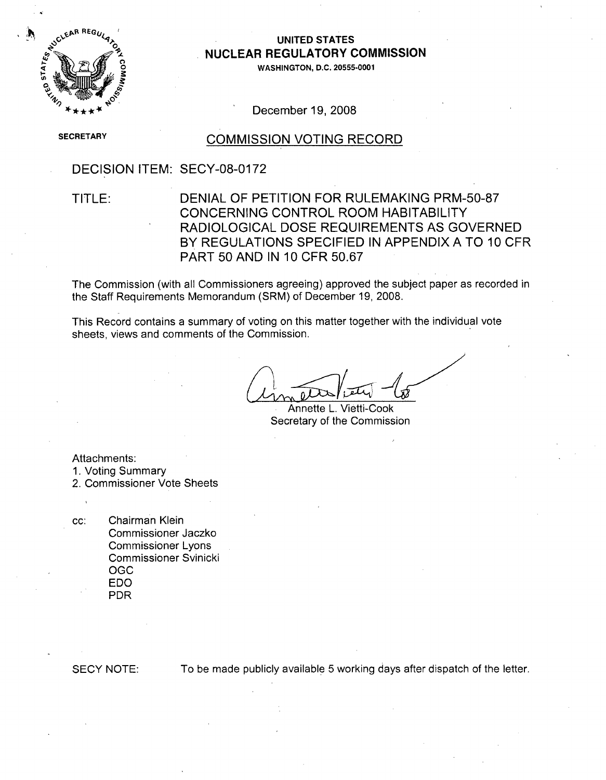

### **UNITED STATES NUCLEAR** REGULATORY **COMMISSION**

**0WASHINGTON, D.C. 20555-0001**

December 19, 2008

**SECRETARY** 

### COMMISSION VOTING RECORD

DECISION ITEM: SECY-08-0172

TITLE: DENIAL OF PETITION FOR RULEMAKING PRM-50-87 CONCERNING CONTROL ROOM HABITABILITY RADIOLOGICAL DOSE REQUIREMENTS AS GOVERNED BY REGULATIONS SPECIFIED IN APPENDIX A TO 10 CFR PART 50 AND IN 10 CFR 50.67

The Commission (with all Commissioners agreeing) approved the subject paper as recorded in the Staff Requirements Memorandum (SRM) of December **19,** 2008.

This Record contains a summary of voting on this matter together with the individual vote sheets, views and comments of the Commission.

Annette L. Vietti-Cook Secretary of the Commission

Attachments: 1. Voting Summary

2. Commissioner Vote Sheets

cc: Chairman Klein Commissioner Jaczko Commissioner Lyons Commissioner Svinicki OGC EDO PDR

**SECY NOTE:** To be made publicly available **5** working days after dispatch of the letter.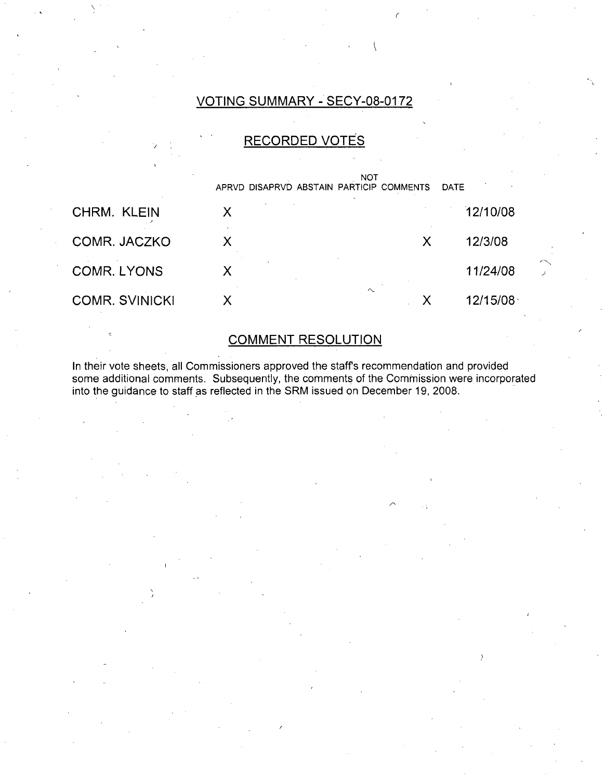### VOTING SUMMARY - SECY-08-0172

 $\left($ 

### RECORDED VOTES



### COMMENT RESOLUTION

In their vote sheets, all Commissioners approved the staffs recommendation and provided some additional comments. Subsequently, the comments of the Commission were incorporated into the guidance to staff as reflected in the SRM issued on December 19, 2008.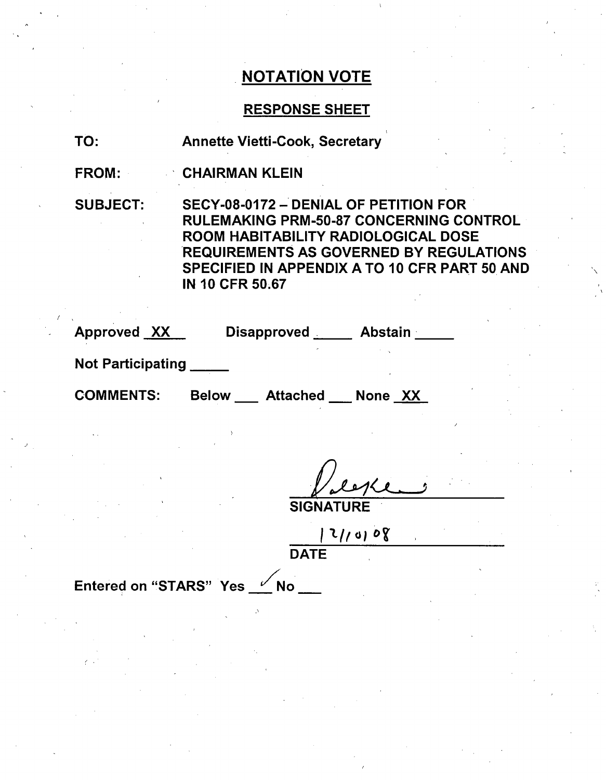### RESPONSE SHEET

TO: Annette Vietti-Cook, Secretary

FROM: CHAIRMAN KLEIN

SUBJECT: SECY-08-0172 - DENIAL OF PETITION FOR RULEMAKING PRM-50-87 CONCERNING CONTROL ROOM HABITABILITY RADIOLOGICAL DOSE REQUIREMENTS AS GOVERNED BY REGULATIONS SPECIFIED IN APPENDIX A TO 10 CFR PART 50 AND IN 10 CFR 50.67

Approved XX Disapproved Abstain

Not Participating **\_**

COMMENTS: Below \_\_ Attached \_\_ None XX

**SIGNATURE** 

 $\frac{2}{\sqrt{2}}$ 

Entered on "STARS" Yes **Vince 7** No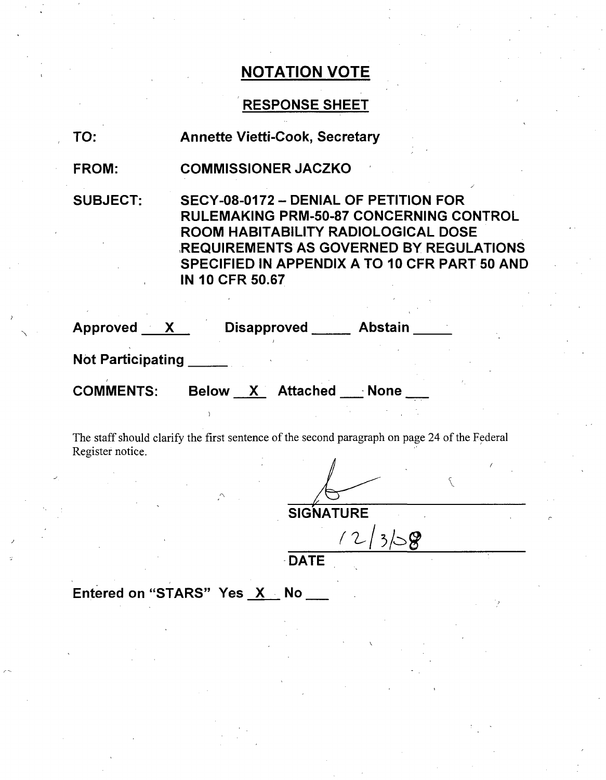## RESPONSE SHEET

| TO:               | <b>Annette Vietti-Cook, Secretary</b>                                                                                                                                                                                                                       |
|-------------------|-------------------------------------------------------------------------------------------------------------------------------------------------------------------------------------------------------------------------------------------------------------|
| <b>FROM:</b>      | <b>COMMISSIONER JACZKO</b>                                                                                                                                                                                                                                  |
| <b>SUBJECT:</b>   | SECY-08-0172 - DENIAL OF PETITION FOR<br><b>RULEMAKING PRM-50-87 CONCERNING CONTROL</b><br>ROOM HABITABILITY RADIOLOGICAL DOSE<br><b>REQUIREMENTS AS GOVERNED BY REGULATIONS</b><br>SPECIFIED IN APPENDIX A TO 10 CFR PART 50 AND<br><b>IN 10 CFR 50.67</b> |
|                   | Approved X Disapproved Abstain                                                                                                                                                                                                                              |
| Not Participating |                                                                                                                                                                                                                                                             |
|                   | COMMENTS: Below X Attached None                                                                                                                                                                                                                             |
| Register notice.  | The staff should clarify the first sentence of the second paragraph on page 24 of the Federal                                                                                                                                                               |

**SIGNATURE**  $12/3/58$ 

DATE

Entered on "STARS" Yes X No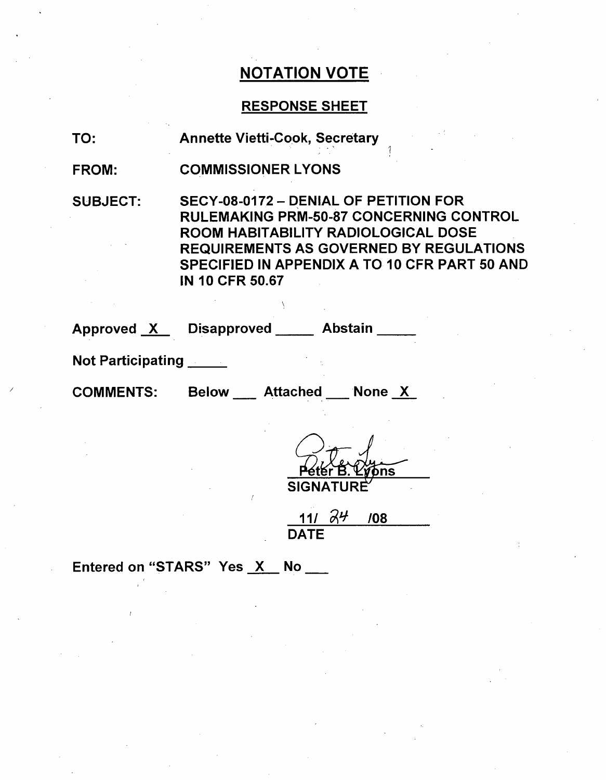### RESPONSE SHEET

**I**

TO: Annette Vietti-Cook, Secretary

COMMISSIONER LYONS FROM:

SUBJECT: SECY-08-0172 - DENIAL OF PETITION FOR RULEMAKING PRM-50-87 CONCERNING CONTROL ROOM HABITABILITY RADIOLOGICAL DOSE REQUIREMENTS AS GOVERNED BY REGULATIONS SPECIFIED IN APPENDIX A TO 10 CFR PART 50 AND IN 10 CFR 50.67

Approved X Disapproved Abstain

Not Participating

COMMENTS: Below Attached Mone X

ons **SIGNAT** 

DATE  $111 \quad 74 \quad 108$ 

Entered on "STARS" Yes X No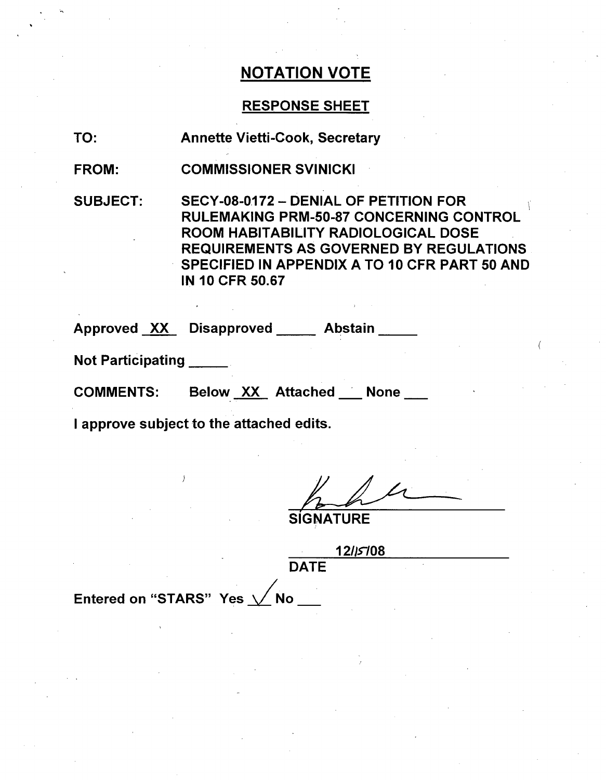## RESPONSE SHEET

TO: Annette Vietti-Cook, Secretary

FROM: COMMISSIONER SVINICKI

SUBJECT: SECY-08-0172 - DENIAL OF PETITION FOR RULEMAKING PRM-50-87 CONCERNING CONTROL ROOM HABITABILITY RADIOLOGICAL DOSE REQUIREMENTS AS GOVERNED BY REGULATIONS SPECIFIED IN APPENDIX A TO 10 CFR PART 50 AND IN 10 CFR 50.67

Approved XX Disapproved Abstain

Not Participating **\_**

COMMENTS: Below XX Attached None

I approve subject to the attached edits.

**SIGNATURE** 

**12/15108 DATE** 

Entered on "STARS" Yes  $\sqrt{\ }$ No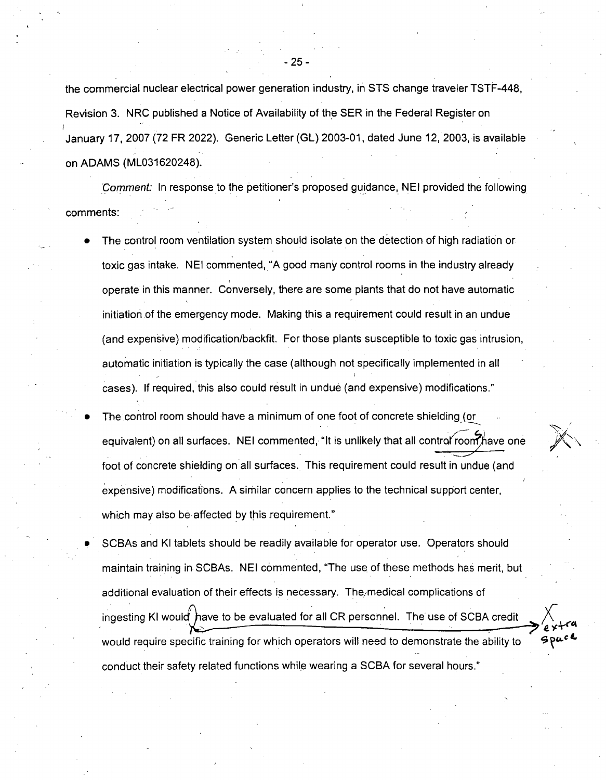the commercial nuclear electrical power generation industry, in STS change traveler TSTF-448, Revision 3. NRC published a Notice of Availability of the SER in the Federal Register on January 17, 2007 (72 FR 2022). Generic Letter (GL) 2003-01, dated June 12, 2003, is available on ADAMS (ML031620248).

*Comment:* In response to the petitioner's proposed guidance, NEI provided the following comments:

- The control room ventilation system should isolate on the detection of high radiation or toxic gas intake. NEI commented, "A good many control rooms in the industry already operate in this manner. Conversely, there are some plants that do not have automatic initiation of the emergency mode. Making this a requirement could result in an undue (and expensive) modification/backfit. For those plants susceptible to toxic gas intrusion, automatic initiation is typically the case (although not specifically implemented in all cases). If required, this also could result in undue (and expensive) modifications."
	- **e** The control room should have a minimum of one foot of concrete shielding or equivalent) on all surfaces. NEI commented, "It is unlikely that all controf room have one foot of concrete shielding on all surfaces. This requirement could result in undue (and expensive) modifications. A similar concern applies to the technical support center, which may also be affected by this requirement."
	- SCBAs and KI tablets should be readily available for operator use. Operators should maintain training in SCBAs. NEI commented, "The use of these methods has merit, but additional evaluation of their effects is necessary. The medical complications of ingesting KI would have to be evaluated for all CR personnel. The use of SCBA credit would require specific training for which operators will need to demonstrate the ability to conduct their safety related functions while wearing a SCBA for several hours."

- 25 -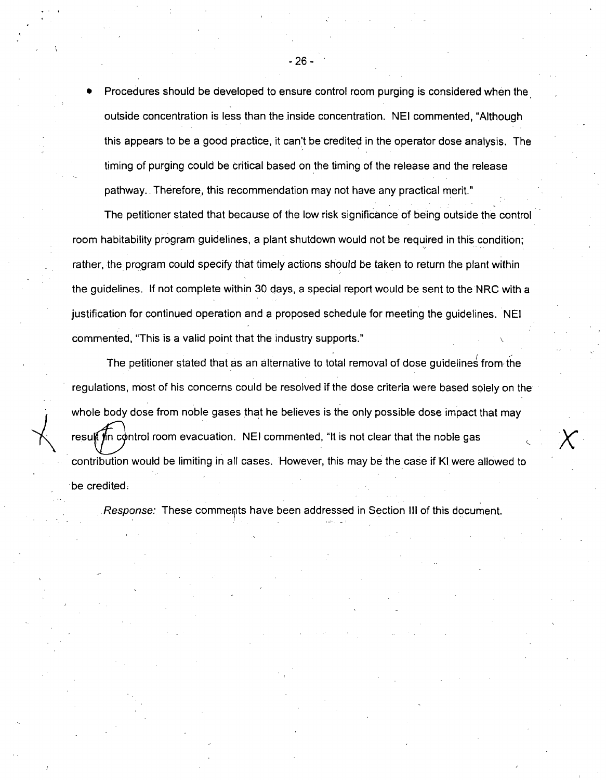Procedures should be developed to ensure control room purging is considered when the outside concentration is less than the inside concentration. NEI commented, "Although this appears. to be a good practice, it can't be credited in the operator dose analysis. The timing of purging could be critical based on the timing of the release and the release pathway. Therefore, this recommendation may not have any practical merit."

- 26 -

The petitioner stated that because of the low risk significance of being outside the control room habitability program guidelines, a plant shutdown would not be required in this condition; rather, the program could specify that timely actions should be taken to return the plant within the guidelines. If not complete within 30 days, a special report would be sent to the NRC with a justification for continued operation and a proposed schedule for meeting the guidelines. NEI commented, "This is a valid point that the industry supports."

The petitioner stated that as an alternative to total removal of dose guidelines from, the regulations, most of his concerns could be resolved if the dose criteria were based solely on the whole body dose from noble gases that he believes is the only possible dose impact that may resul in control room evacuation. NEI commented, "It is not clear that the noble gas contribution would be limiting in all cases. However, this may be the case if KI were allowed to be credited.

*Response:* These comments have been addressed in Section III of this document.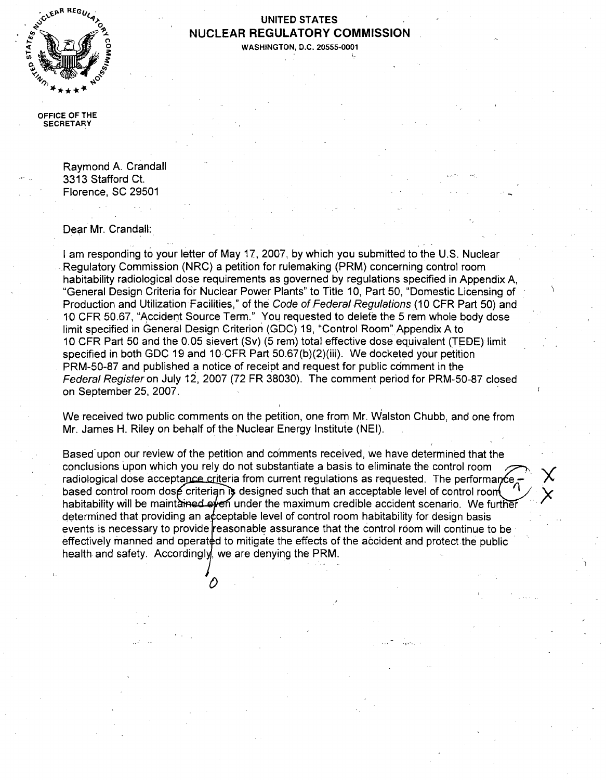

### UNITED STATES ot- **NUCLEAR** REGULATORY **COMMISSION**

**0WASHINGTON, D.C. 20555-0001**

**OFFIC E** OF THE **SEC** RETARY

> Raymond A. Crandall 3313 Stafford Ct. Florence, SC 29501

Dear Mr. Crandall:

I am responding to your letter of May 17, 2007, by which you submitted to the U.S. Nuclear Regulatory Commission (NRC) a petition for rulemaking (PRM) concerning control room habitability radiological dose requirements as governed by regulations specified in Appendix A, "General Design Criteria for Nuclear Power Plants" to Title 10, Part 50, "Domestic Licensing of Production and Utilization Facilities," of the *Code of Federal Regulations* (10 CFR Part 50) and 10 CFR 50.67, "Accident Source Term." You requested to delete the 5 rem whole body dose limit specified in General Design Criterion (GDC) 19, "Control Room" Appendix A to 10 CFR Part 50 and the 0.05 sievert (Sv) (5 rem) total effective dose equivalent (TEDE) limit specified in both GDC 19 and 10 CFR Part 50.67(b)(2)(iii). We docketed your petition PRM-50-87 and published a notice of receipt and request for public comment in the *Federal Register* on July 12, 2007 (72 FR 38030). The comment period for PRM-50-87 closed on September 25, 2007.

We received two public comments on the petition, one from Mr. Walston Chubb, and one from Mr. James H. Riley on behalf of the Nuclear Energy Institute (NEI).

Based upon our review of the petition and comments received, we have determined that the conclusions upon which you rely do not substantiate a basis to eliminate the control room radiological dose acceptance criteria from current regulations as requested. The performance based control room dose criterian is designed such that an acceptable level of control room habitability will be maint ained of the maximum credible accident scenario. We further determined that providing an acceptable level of control room habitability for design basis events is necessary to provide reasonable assurance that the control room will continue to be effectively manned and operated to mitigate the effects of the accident and protect the public health and safety. Accordingly, we are denying the PRM.

์<br>ภ